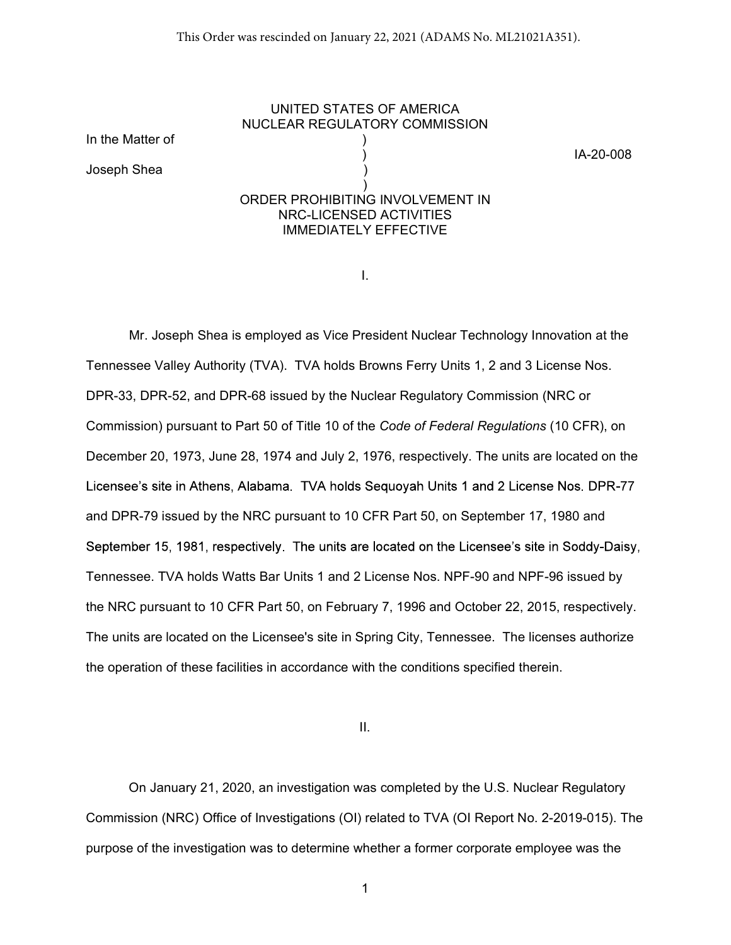## UNITED STATES OF AMERICA NUCLEAR REGULATORY COMMISSION ) IA-20-008  $)$ ORDER PROHIBITING INVOLVEMENT IN NRC-LICENSED ACTIVITIES IMMEDIATELY EFFECTIVE

I.

In the Matter of )

Joseph Shea )

Mr. Joseph Shea is employed as Vice President Nuclear Technology Innovation at the Tennessee Valley Authority (TVA). TVA holds Browns Ferry Units 1, 2 and 3 License Nos. DPR-33, DPR-52, and DPR-68 issued by the Nuclear Regulatory Commission (NRC or Commission) pursuant to Part 50 of Title 10 of the Code of Federal Regulations (10 CFR), on December 20, 1973, June 28, 1974 and July 2, 1976, respectively. The units are located on the Licensee's site in Athens, Alabama. TVA holds Sequoyah Units 1 and 2 License Nos. DPR-77 and DPR-79 issued by the NRC pursuant to 10 CFR Part 50, on September 17, 1980 and September 15, 1981, respectively. The units are located on the Licensee's site in Soddy-Daisy, Tennessee. TVA holds Watts Bar Units 1 and 2 License Nos. NPF-90 and NPF-96 issued by the NRC pursuant to 10 CFR Part 50, on February 7, 1996 and October 22, 2015, respectively. The units are located on the Licensee's site in Spring City, Tennessee. The licenses authorize the operation of these facilities in accordance with the conditions specified therein.

II.

On January 21, 2020, an investigation was completed by the U.S. Nuclear Regulatory Commission (NRC) Office of Investigations (OI) related to TVA (OI Report No. 2-2019-015). The purpose of the investigation was to determine whether a former corporate employee was the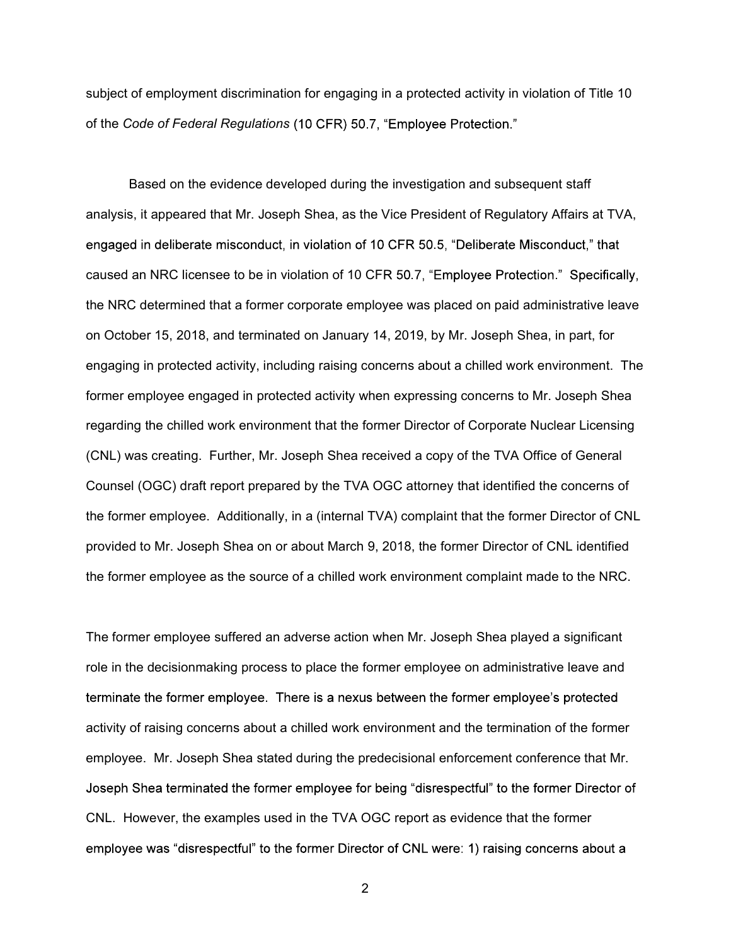subject of employment discrimination for engaging in a protected activity in violation of Title 10 of the Code of Federal Regulations (10 CFR) 50.7, "Employee Protection."

 Based on the evidence developed during the investigation and subsequent staff analysis, it appeared that Mr. Joseph Shea, as the Vice President of Regulatory Affairs at TVA, engaged in deliberate misconduct, in violation of 10 CFR 50.5, "Deliberate Misconduct," that caused an NRC licensee to be in violation of 10 CFR 50.7, "Employee Protection." Specifically, the NRC determined that a former corporate employee was placed on paid administrative leave on October 15, 2018, and terminated on January 14, 2019, by Mr. Joseph Shea, in part, for engaging in protected activity, including raising concerns about a chilled work environment. The former employee engaged in protected activity when expressing concerns to Mr. Joseph Shea regarding the chilled work environment that the former Director of Corporate Nuclear Licensing (CNL) was creating. Further, Mr. Joseph Shea received a copy of the TVA Office of General Counsel (OGC) draft report prepared by the TVA OGC attorney that identified the concerns of the former employee. Additionally, in a (internal TVA) complaint that the former Director of CNL provided to Mr. Joseph Shea on or about March 9, 2018, the former Director of CNL identified the former employee as the source of a chilled work environment complaint made to the NRC.

The former employee suffered an adverse action when Mr. Joseph Shea played a significant role in the decisionmaking process to place the former employee on administrative leave and terminate the former employee. There is a nexus between the former employee's protected activity of raising concerns about a chilled work environment and the termination of the former employee. Mr. Joseph Shea stated during the predecisional enforcement conference that Mr. Joseph Shea terminated the former employee for being "disrespectful" to the former Director of CNL. However, the examples used in the TVA OGC report as evidence that the former employee was "disrespectful" to the former Director of CNL were: 1) raising concerns about a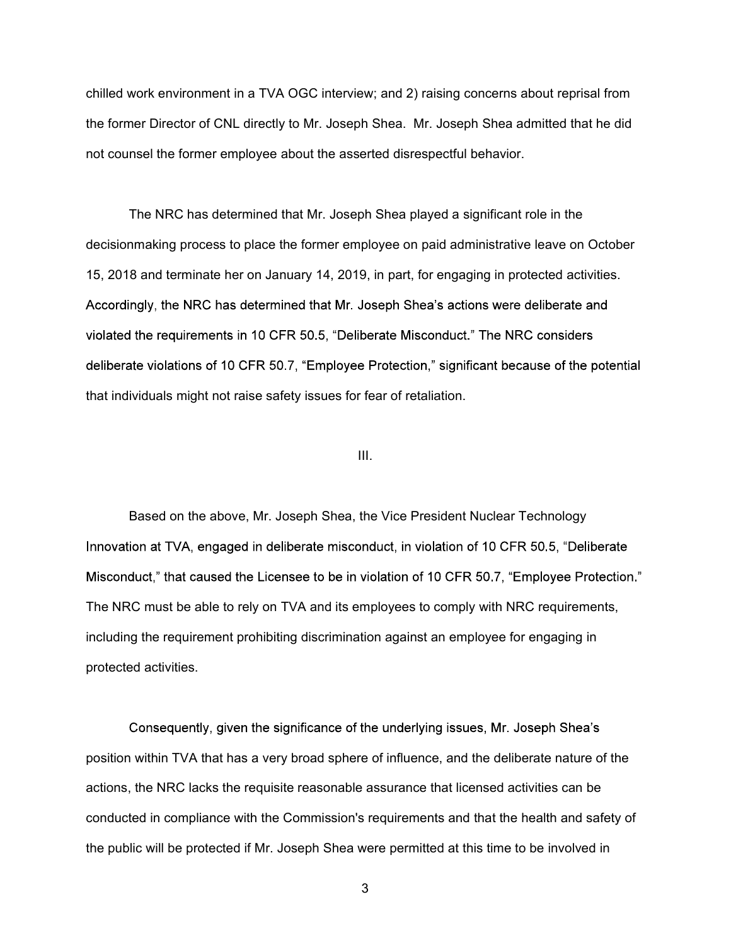chilled work environment in a TVA OGC interview; and 2) raising concerns about reprisal from the former Director of CNL directly to Mr. Joseph Shea. Mr. Joseph Shea admitted that he did not counsel the former employee about the asserted disrespectful behavior.

 The NRC has determined that Mr. Joseph Shea played a significant role in the decisionmaking process to place the former employee on paid administrative leave on October 15, 2018 and terminate her on January 14, 2019, in part, for engaging in protected activities. Accordingly, the NRC has determined that Mr. Joseph Shea's actions were deliberate and violated the requirements in 10 CFR 50.5, "Deliberate Misconduct." The NRC considers deliberate violations of 10 CFR 50.7, "Employee Protection," significant because of the potential that individuals might not raise safety issues for fear of retaliation.

## III.

Based on the above, Mr. Joseph Shea, the Vice President Nuclear Technology Innovation at TVA, engaged in deliberate misconduct, in violation of 10 CFR 50.5, "Deliberate Misconduct," that caused the Licensee to be in violation of 10 CFR 50.7, "Employee Protection." The NRC must be able to rely on TVA and its employees to comply with NRC requirements, including the requirement prohibiting discrimination against an employee for engaging in protected activities.

Consequently, given the significance of the underlying issues, Mr. Joseph Shea's position within TVA that has a very broad sphere of influence, and the deliberate nature of the actions, the NRC lacks the requisite reasonable assurance that licensed activities can be conducted in compliance with the Commission's requirements and that the health and safety of the public will be protected if Mr. Joseph Shea were permitted at this time to be involved in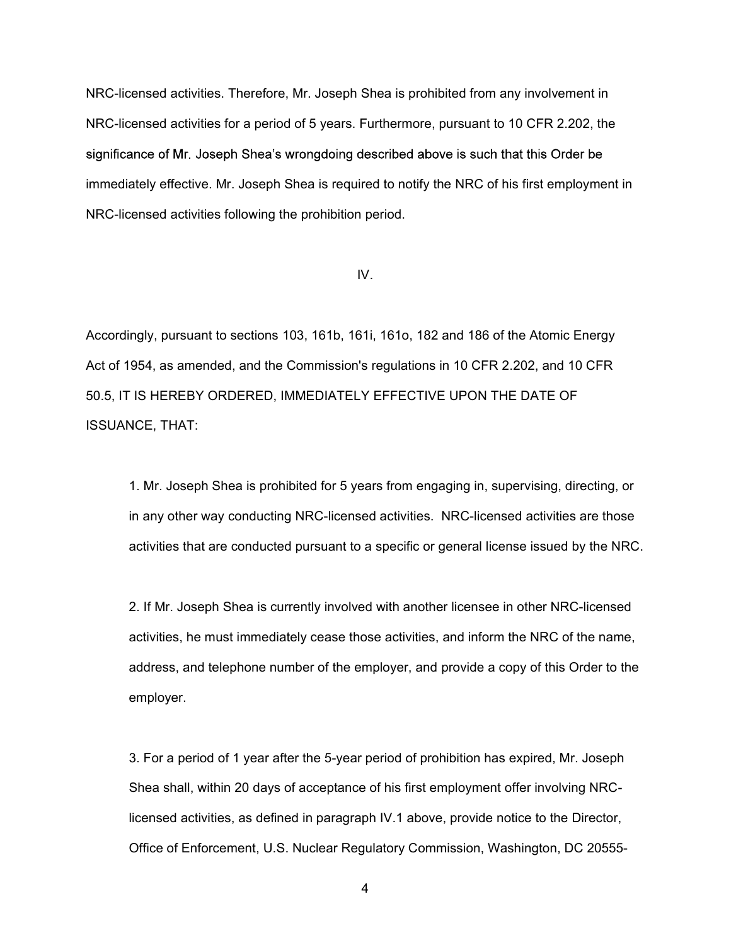NRC-licensed activities. Therefore, Mr. Joseph Shea is prohibited from any involvement in NRC-licensed activities for a period of 5 years. Furthermore, pursuant to 10 CFR 2.202, the significance of Mr. Joseph Shea's wrongdoing described above is such that this Order be immediately effective. Mr. Joseph Shea is required to notify the NRC of his first employment in NRC-licensed activities following the prohibition period.

## IV.

Accordingly, pursuant to sections 103, 161b, 161i, 161o, 182 and 186 of the Atomic Energy Act of 1954, as amended, and the Commission's regulations in 10 CFR 2.202, and 10 CFR 50.5, IT IS HEREBY ORDERED, IMMEDIATELY EFFECTIVE UPON THE DATE OF ISSUANCE, THAT:

1. Mr. Joseph Shea is prohibited for 5 years from engaging in, supervising, directing, or in any other way conducting NRC-licensed activities. NRC-licensed activities are those activities that are conducted pursuant to a specific or general license issued by the NRC.

2. If Mr. Joseph Shea is currently involved with another licensee in other NRC-licensed activities, he must immediately cease those activities, and inform the NRC of the name, address, and telephone number of the employer, and provide a copy of this Order to the employer.

3. For a period of 1 year after the 5-year period of prohibition has expired, Mr. Joseph Shea shall, within 20 days of acceptance of his first employment offer involving NRClicensed activities, as defined in paragraph IV.1 above, provide notice to the Director, Office of Enforcement, U.S. Nuclear Regulatory Commission, Washington, DC 20555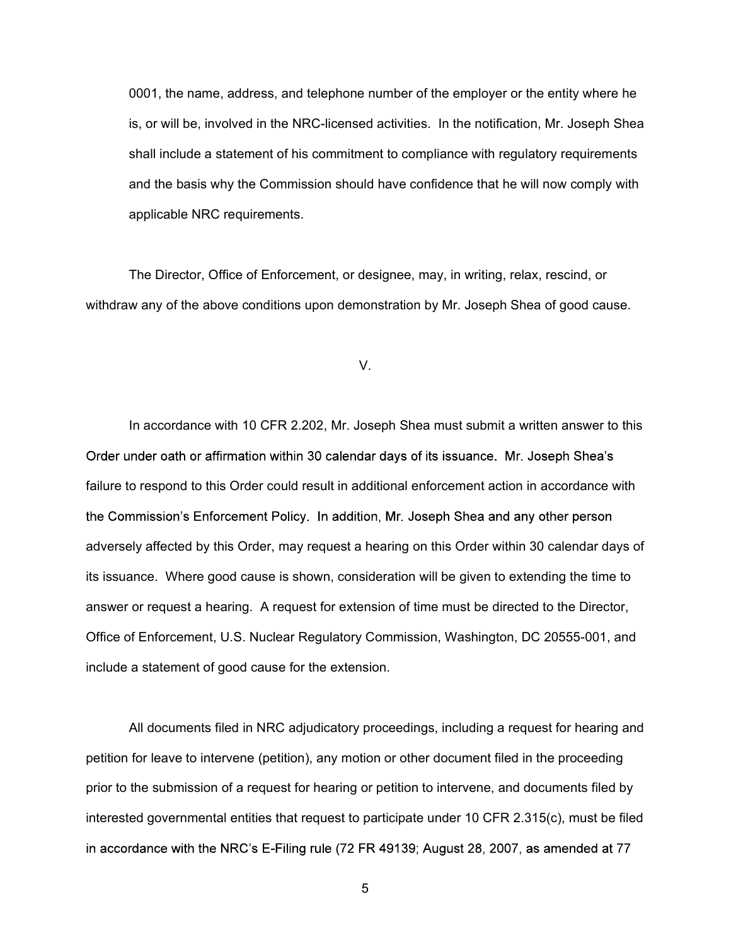0001, the name, address, and telephone number of the employer or the entity where he is, or will be, involved in the NRC-licensed activities. In the notification, Mr. Joseph Shea shall include a statement of his commitment to compliance with regulatory requirements and the basis why the Commission should have confidence that he will now comply with applicable NRC requirements.

The Director, Office of Enforcement, or designee, may, in writing, relax, rescind, or withdraw any of the above conditions upon demonstration by Mr. Joseph Shea of good cause.

V.

In accordance with 10 CFR 2.202, Mr. Joseph Shea must submit a written answer to this Order under oath or affirmation within 30 calendar days of its issuance. Mr. Joseph Shea's failure to respond to this Order could result in additional enforcement action in accordance with the Commission's Enforcement Policy. In addition, Mr. Joseph Shea and any other person adversely affected by this Order, may request a hearing on this Order within 30 calendar days of its issuance. Where good cause is shown, consideration will be given to extending the time to answer or request a hearing. A request for extension of time must be directed to the Director, Office of Enforcement, U.S. Nuclear Regulatory Commission, Washington, DC 20555-001, and include a statement of good cause for the extension.

All documents filed in NRC adjudicatory proceedings, including a request for hearing and petition for leave to intervene (petition), any motion or other document filed in the proceeding prior to the submission of a request for hearing or petition to intervene, and documents filed by interested governmental entities that request to participate under 10 CFR 2.315(c), must be filed in accordance with the NRC's E-Filing rule (72 FR 49139; August 28, 2007, as amended at 77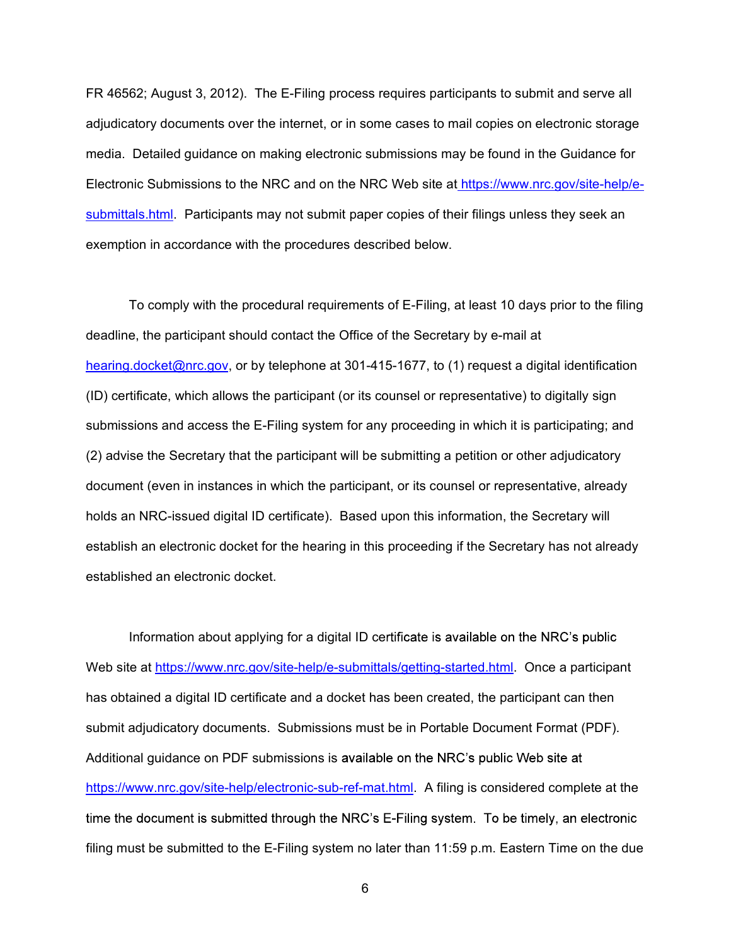FR 46562; August 3, 2012). The E-Filing process requires participants to submit and serve all adjudicatory documents over the internet, or in some cases to mail copies on electronic storage media. Detailed guidance on making electronic submissions may be found in the Guidance for Electronic Submissions to the NRC and on the NRC Web site at https://www.nrc.gov/site-help/esubmittals.html. Participants may not submit paper copies of their filings unless they seek an exemption in accordance with the procedures described below.

To comply with the procedural requirements of E-Filing, at least 10 days prior to the filing deadline, the participant should contact the Office of the Secretary by e-mail at hearing.docket@nrc.gov, or by telephone at 301-415-1677, to (1) request a digital identification (ID) certificate, which allows the participant (or its counsel or representative) to digitally sign submissions and access the E-Filing system for any proceeding in which it is participating; and (2) advise the Secretary that the participant will be submitting a petition or other adjudicatory document (even in instances in which the participant, or its counsel or representative, already holds an NRC-issued digital ID certificate). Based upon this information, the Secretary will establish an electronic docket for the hearing in this proceeding if the Secretary has not already established an electronic docket.

Information about applying for a digital ID certificate is available on the NRC's public Web site at https://www.nrc.gov/site-help/e-submittals/getting-started.html. Once a participant has obtained a digital ID certificate and a docket has been created, the participant can then submit adjudicatory documents. Submissions must be in Portable Document Format (PDF). Additional guidance on PDF submissions is available on the NRC's public Web site at https://www.nrc.gov/site-help/electronic-sub-ref-mat.html. A filing is considered complete at the time the document is submitted through the NRC's E-Filing system. To be timely, an electronic filing must be submitted to the E-Filing system no later than 11:59 p.m. Eastern Time on the due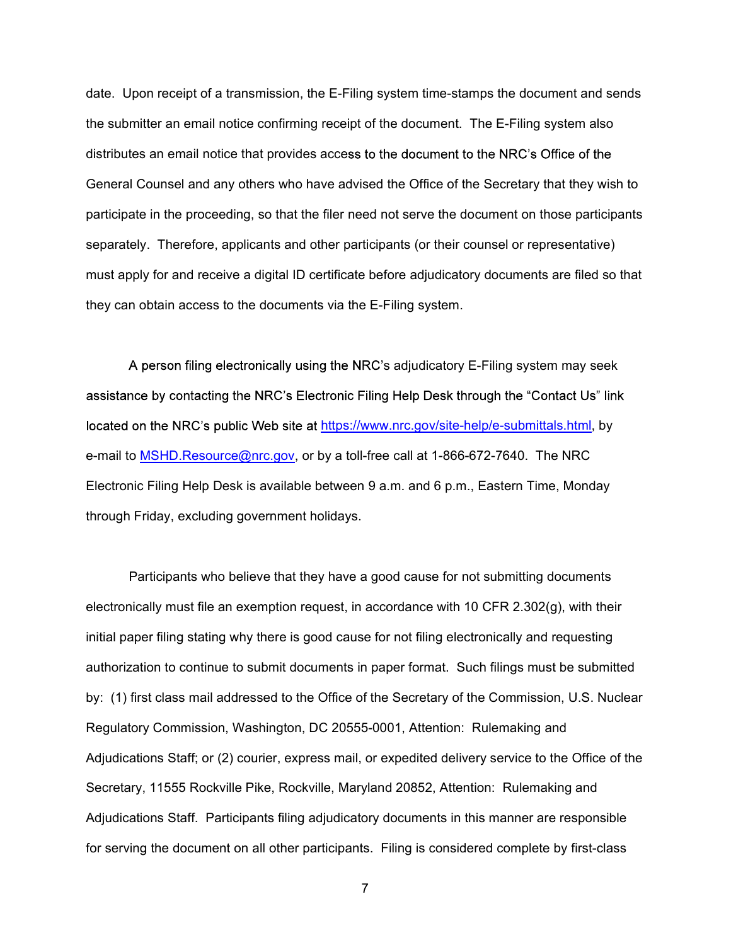date. Upon receipt of a transmission, the E-Filing system time-stamps the document and sends the submitter an email notice confirming receipt of the document. The E-Filing system also distributes an email notice that provides access to the document to the NRC's Office of the General Counsel and any others who have advised the Office of the Secretary that they wish to participate in the proceeding, so that the filer need not serve the document on those participants separately. Therefore, applicants and other participants (or their counsel or representative) must apply for and receive a digital ID certificate before adjudicatory documents are filed so that they can obtain access to the documents via the E-Filing system.

A person filing electronically using the NRC's adjudicatory E-Filing system may seek assistance by contacting the NRC's Electronic Filing Help Desk through the "Contact Us" link located on the NRC's public Web site at https://www.nrc.gov/site-help/e-submittals.html, by e-mail to MSHD.Resource@nrc.gov, or by a toll-free call at 1-866-672-7640. The NRC Electronic Filing Help Desk is available between 9 a.m. and 6 p.m., Eastern Time, Monday through Friday, excluding government holidays.

Participants who believe that they have a good cause for not submitting documents electronically must file an exemption request, in accordance with 10 CFR 2.302(g), with their initial paper filing stating why there is good cause for not filing electronically and requesting authorization to continue to submit documents in paper format. Such filings must be submitted by: (1) first class mail addressed to the Office of the Secretary of the Commission, U.S. Nuclear Regulatory Commission, Washington, DC 20555-0001, Attention: Rulemaking and Adjudications Staff; or (2) courier, express mail, or expedited delivery service to the Office of the Secretary, 11555 Rockville Pike, Rockville, Maryland 20852, Attention: Rulemaking and Adjudications Staff. Participants filing adjudicatory documents in this manner are responsible for serving the document on all other participants. Filing is considered complete by first-class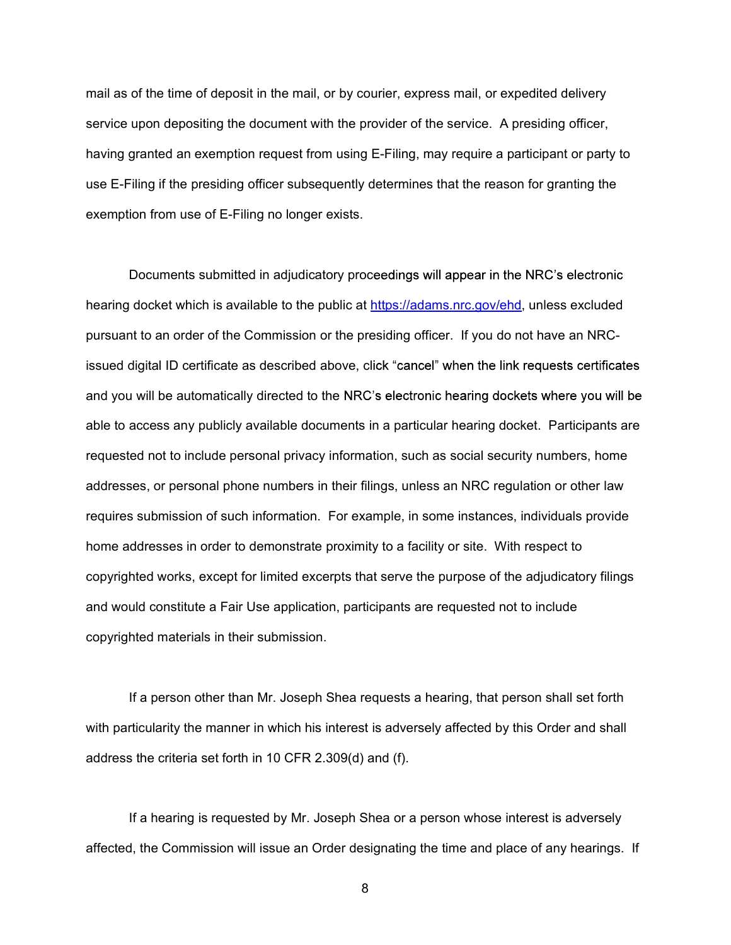mail as of the time of deposit in the mail, or by courier, express mail, or expedited delivery service upon depositing the document with the provider of the service. A presiding officer, having granted an exemption request from using E-Filing, may require a participant or party to use E-Filing if the presiding officer subsequently determines that the reason for granting the exemption from use of E-Filing no longer exists.

Documents submitted in adjudicatory proceedings will appear in the NRC's electronic hearing docket which is available to the public at https://adams.nrc.gov/ehd, unless excluded pursuant to an order of the Commission or the presiding officer. If you do not have an NRCissued digital ID certificate as described above, click "cancel" when the link requests certificates and you will be automatically directed to the NRC's electronic hearing dockets where you will be able to access any publicly available documents in a particular hearing docket. Participants are requested not to include personal privacy information, such as social security numbers, home addresses, or personal phone numbers in their filings, unless an NRC regulation or other law requires submission of such information. For example, in some instances, individuals provide home addresses in order to demonstrate proximity to a facility or site. With respect to copyrighted works, except for limited excerpts that serve the purpose of the adjudicatory filings and would constitute a Fair Use application, participants are requested not to include copyrighted materials in their submission.

If a person other than Mr. Joseph Shea requests a hearing, that person shall set forth with particularity the manner in which his interest is adversely affected by this Order and shall address the criteria set forth in 10 CFR 2.309(d) and (f).

If a hearing is requested by Mr. Joseph Shea or a person whose interest is adversely affected, the Commission will issue an Order designating the time and place of any hearings. If